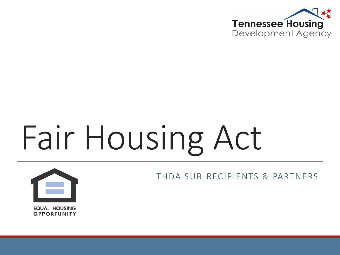

# Fair Housing Act



THDA SUB-RECIPIENTS & PARTNERS

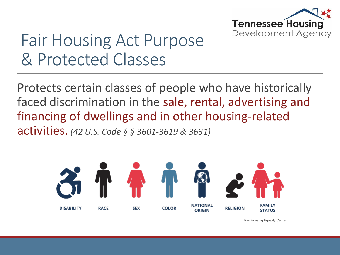

### Fair Housing Act Purpose & Protected Classes

Protects certain classes of people who have historically faced discrimination in the sale, rental, advertising and financing of dwellings and in other housing-related activities. *(42 U.S. Code § § 3601-3619 & 3631)*



Fair Housing Equality Center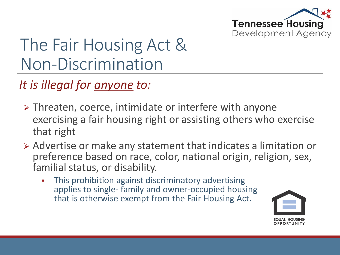

## The Fair Housing Act & Non-Discrimination

*It is illegal for anyone to:*

- $\triangleright$  Threaten, coerce, intimidate or interfere with anyone exercising a fair housing right or assisting others who exercise that right
- Advertise or make any statement that indicates a limitation or preference based on race, color, national origin, religion, sex, familial status, or disability.
	- This prohibition against discriminatory advertising applies to single- family and owner-occupied housing that is otherwise exempt from the Fair Housing Act.

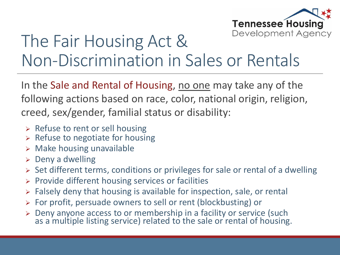

### The Fair Housing Act & Non-Discrimination in Sales or Rentals

In the Sale and Rental of Housing, no one may take any of the following actions based on race, color, national origin, religion, creed, sex/gender, familial status or disability:

- $\triangleright$  Refuse to rent or sell housing
- $\triangleright$  Refuse to negotiate for housing
- $\triangleright$  Make housing unavailable
- $\triangleright$  Deny a dwelling
- > Set different terms, conditions or privileges for sale or rental of a dwelling
- $\triangleright$  Provide different housing services or facilities
- $\triangleright$  Falsely deny that housing is available for inspection, sale, or rental
- For profit, persuade owners to sell or rent (blockbusting) or
- > Deny anyone access to or membership in a facility or service (such as a multiple listing service) related to the sale or rental of housing.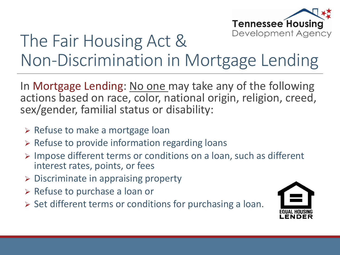

### The Fair Housing Act & Non-Discrimination in Mortgage Lending

In Mortgage Lending: No one may take any of the following actions based on race, color, national origin, religion, creed, sex/gender, familial status or disability:

- $\triangleright$  Refuse to make a mortgage loan
- $\triangleright$  Refuse to provide information regarding loans
- $\triangleright$  Impose different terms or conditions on a loan, such as different interest rates, points, or fees
- $\triangleright$  Discriminate in appraising property
- $\triangleright$  Refuse to purchase a loan or
- $\triangleright$  Set different terms or conditions for purchasing a loan.

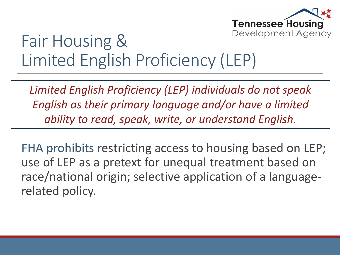

### Fair Housing & Limited English Proficiency (LEP)

*Limited English Proficiency (LEP) individuals do not speak English as their primary language and/or have a limited ability to read, speak, write, or understand English.* 

FHA prohibits restricting access to housing based on LEP; use of LEP as a pretext for unequal treatment based on race/national origin; selective application of a languagerelated policy.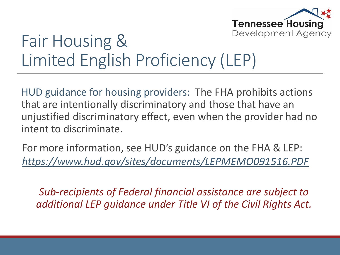

### Fair Housing & Limited English Proficiency (LEP)

HUD guidance for housing providers: The FHA prohibits actions that are intentionally discriminatory and those that have an unjustified discriminatory effect, even when the provider had no intent to discriminate.

For more information, see HUD's guidance on the FHA & LEP: *<https://www.hud.gov/sites/documents/LEPMEMO091516.PDF>*

*Sub-recipients of Federal financial assistance are subject to additional LEP guidance under Title VI of the Civil Rights Act.*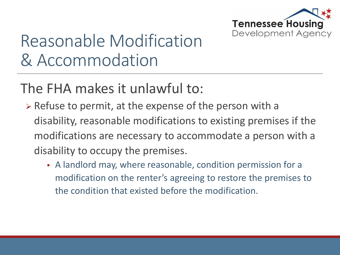

# Reasonable Modification & Accommodation

#### The FHA makes it unlawful to:

- $\triangleright$  Refuse to permit, at the expense of the person with a disability, reasonable modifications to existing premises if the modifications are necessary to accommodate a person with a disability to occupy the premises.
	- A landlord may, where reasonable, condition permission for a modification on the renter's agreeing to restore the premises to the condition that existed before the modification.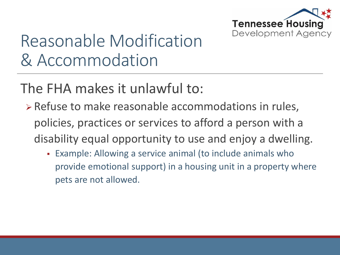

# Reasonable Modification & Accommodation

The FHA makes it unlawful to:

- Refuse to make reasonable accommodations in rules, policies, practices or services to afford a person with a disability equal opportunity to use and enjoy a dwelling.
	- Example: Allowing a service animal (to include animals who provide emotional support) in a housing unit in a property where pets are not allowed.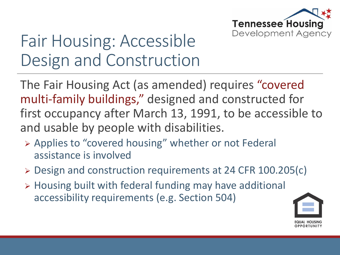

The Fair Housing Act (as amended) requires "covered multi-family buildings," designed and constructed for first occupancy after March 13, 1991, to be accessible to and usable by people with disabilities.

- Applies to "covered housing" whether or not Federal assistance is involved
- Design and construction requirements at 24 CFR 100.205(c)
- Housing built with federal funding may have additional accessibility requirements (e.g. Section 504)

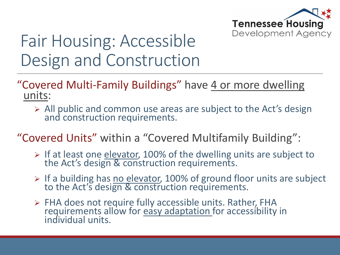

- "Covered Multi-Family Buildings" have 4 or more dwelling units:
	- $\triangleright$  All public and common use areas are subject to the Act's design and construction requirements.
- "Covered Units" within a "Covered Multifamily Building":
	- $\triangleright$  If at least one elevator, 100% of the dwelling units are subject to the Act's design & construction requirements.
	- > If a building has no elevator, 100% of ground floor units are subject to the Act's design & construction requirements.
	- > FHA does not require fully accessible units. Rather, FHA requirements allow for easy adaptation for accessibility in individual units.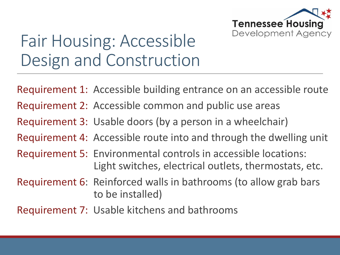

Requirement 1: Accessible building entrance on an accessible route

- Requirement 2: Accessible common and public use areas
- Requirement 3: Usable doors (by a person in a wheelchair)
- Requirement 4: Accessible route into and through the dwelling unit
- Requirement 5: Environmental controls in accessible locations: Light switches, electrical outlets, thermostats, etc.
- Requirement 6: Reinforced walls in bathrooms (to allow grab bars to be installed)
- Requirement 7: Usable kitchens and bathrooms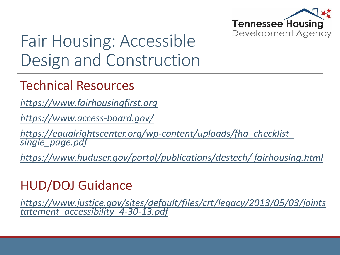

#### Technical Resources

*[https://www.fairhousingfirst.org](https://www.fairhousingfirst.org/)*

*<https://www.access-board.gov/>*

*[https://equalrightscenter.org/wp-content/uploads/fha\\_checklist\\_](https://equalrightscenter.org/wp-content/uploads/fha_checklist_single_page.pdf)  single\_page.pdf*

*[https://www.huduser.gov/portal/publications/destech/ fairhousing.html](https://www.huduser.gov/portal/publications/destech/fairhousing.html)*

#### HUD/DOJ Guidance

*[https://www.justice.gov/sites/default/files/crt/legacy/2013/05/03/joints](https://www.justice.gov/sites/default/files/crt/legacy/2013/05/03/jointstatement_accessibility_4-30-13.pdf) tatement\_accessibility\_4-30-13.pdf*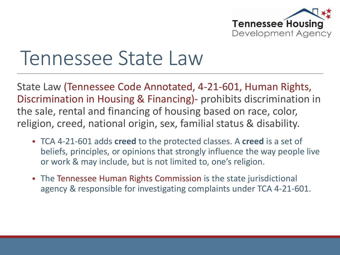

# Tennessee State Law

State Law (Tennessee Code Annotated, 4-21-601, Human Rights, Discrimination in Housing & Financing)- prohibits discrimination in the sale, rental and financing of housing based on race, color, religion, creed, national origin, sex, familial status & disability.

- TCA 4-21-601 adds **creed** to the protected classes. A **creed** is a set of beliefs, principles, or opinions that strongly influence the way people live or work & may include, but is not limited to, one's religion.
- The Tennessee Human Rights Commission is the state jurisdictional agency & responsible for investigating complaints under TCA 4-21-601.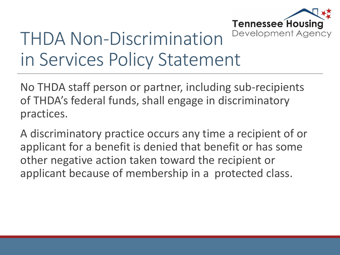

# THDA Non-Discrimination in Services Policy Statement

No THDA staff person or partner, including sub-recipients of THDA's federal funds, shall engage in discriminatory practices.

A discriminatory practice occurs any time a recipient of or applicant for a benefit is denied that benefit or has some other negative action taken toward the recipient or applicant because of membership in a protected class.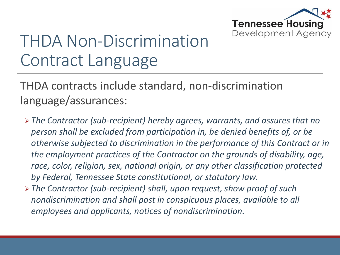

# THDA Non-Discrimination Contract Language

THDA contracts include standard, non-discrimination language/assurances:

- *The Contractor (sub-recipient) hereby agrees, warrants, and assures that no person shall be excluded from participation in, be denied benefits of, or be otherwise subjected to discrimination in the performance of this Contract or in the employment practices of the Contractor on the grounds of disability, age, race, color, religion, sex, national origin, or any other classification protected by Federal, Tennessee State constitutional, or statutory law.*
- *The Contractor (sub-recipient) shall, upon request, show proof of such nondiscrimination and shall post in conspicuous places, available to all employees and applicants, notices of nondiscrimination.*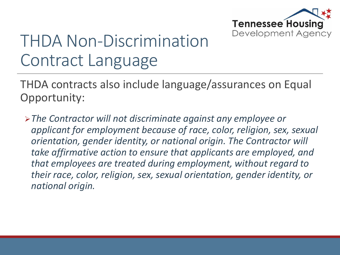

# THDA Non-Discrimination Contract Language

THDA contracts also include language/assurances on Equal Opportunity:

*The Contractor will not discriminate against any employee or applicant for employment because of race, color, religion, sex, sexual orientation, gender identity, or national origin. The Contractor will take affirmative action to ensure that applicants are employed, and that employees are treated during employment, without regard to their race, color, religion, sex, sexual orientation, gender identity, or national origin.*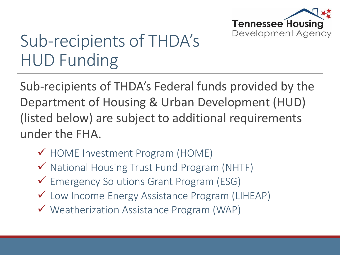

# Sub-recipients of THDA's HUD Funding

Sub-recipients of THDA's Federal funds provided by the Department of Housing & Urban Development (HUD) (listed below) are subject to additional requirements under the FHA.

- HOME Investment Program (HOME)
- $\checkmark$  National Housing Trust Fund Program (NHTF)
- Emergency Solutions Grant Program (ESG)
- Low Income Energy Assistance Program (LIHEAP)
- Weatherization Assistance Program (WAP)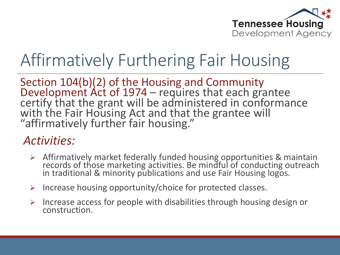

## Affirmatively Furthering Fair Housing

Section 104(b)(2) of the Housing and Community Development  $\text{Act}$  of 1974 – requires that each grantee certify that the grant will be administered in conformance with the Fair Housing Act and that the grantee will "affirmatively further fair housing."

#### *Activities:*

- Affirmatively market federally funded housing opportunities & maintain records of those marketing activities. Be mindful of conducting outreach in traditional & minority publications and use Fair Housing logos.
- $\triangleright$  Increase housing opportunity/choice for protected classes.
- $\triangleright$  Increase access for people with disabilities through housing design or construction.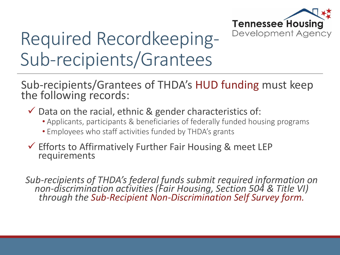

# Required Recordkeeping-Sub-recipients/Grantees

Sub-recipients/Grantees of THDA's HUD funding must keep the following records:

- $\checkmark$  Data on the racial, ethnic & gender characteristics of:
	- Applicants, participants & beneficiaries of federally funded housing programs
	- Employees who staff activities funded by THDA's grants
- $\checkmark$  Efforts to Affirmatively Further Fair Housing & meet LEP requirements

*Sub-recipients of THDA's federal funds submit required information on non-discrimination activities (Fair Housing, Section 504 & Title VI) through the Sub-Recipient Non-Discrimination Self Survey form.*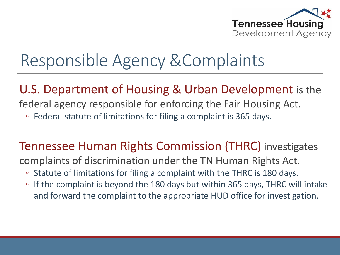

## Responsible Agency &Complaints

#### U.S. Department of Housing & Urban Development is the

federal agency responsible for enforcing the Fair Housing Act.

◦ Federal statute of limitations for filing a complaint is 365 days.

#### Tennessee Human Rights Commission (THRC) investigates

complaints of discrimination under the TN Human Rights Act.

- Statute of limitations for filing a complaint with the THRC is 180 days.
- If the complaint is beyond the 180 days but within 365 days, THRC will intake and forward the complaint to the appropriate HUD office for investigation.